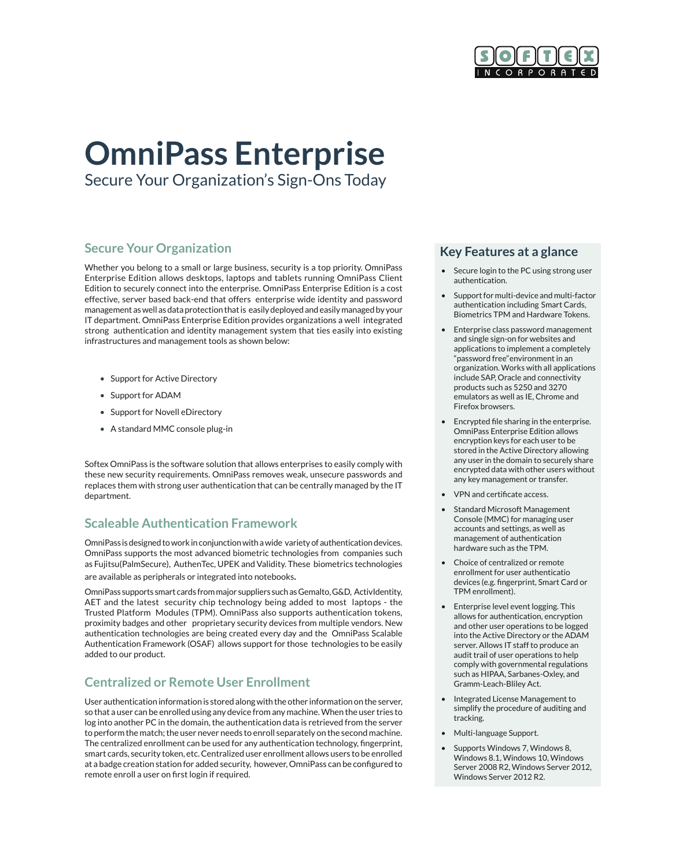

# **OmniPass Enterprise**

Secure Your Organization's Sign-Ons Today

# **Secure Your Organization**

Whether you belong to a small or large business, security is a top priority. OmniPass Enterprise Edition allows desktops, laptops and tablets running OmniPass Client Edition to securely connect into the enterprise. OmniPass Enterprise Edition is a cost effective, server based back-end that offers enterprise wide identity and password management as well as data protection that is easily deployed and easily managed by your IT department. OmniPass Enterprise Edition provides organizations a well integrated strong authentication and identity management system that ties easily into existing infrastructures and management tools as shown below:

- Support for Active Directory
- Support for ADAM
- Support for Novell eDirectory
- A standard MMC console plug-in

Softex OmniPass is the software solution that allows enterprises to easily comply with these new security requirements. OmniPass removes weak, unsecure passwords and replaces them with strong user authentication that can be centrally managed by the IT department.

# **Scaleable Authentication Framework**

OmniPass is designed to work in conjunction with a wide variety of authentication devices. OmniPass supports the most advanced biometric technologies from companies such as Fujitsu(PalmSecure), AuthenTec, UPEK and Validity. These biometrics technologies

are available as peripherals or integrated into notebooks.

OmniPass supports smart cards from major suppliers such as Gemalto, G&D, ActivIdentity, AET and the latest security chip technology being added to most laptops - the Trusted Platform Modules (TPM). OmniPass also supports authentication tokens, proximity badges and other proprietary security devices from multiple vendors. New authentication technologies are being created every day and the OmniPass Scalable Authentication Framework (OSAF) allows support for those technologies to be easily added to our product.

## **Centralized or Remote User Enrollment**

User authentication information is stored along with the other information on the server, so that a user can be enrolled using any device from any machine. When the user tries to log into another PC in the domain, the authentication data is retrieved from the server to perform the match; the user never needs to enroll separately on the second machine. The centralized enrollment can be used for any authentication technology, fingerprint, smart cards, security token, etc. Centralized user enrollment allows users to be enrolled at a badge creation station for added security, however, OmniPass can be configured to remote enroll a user on first login if required.

#### **Key Features at a glance**

- Secure login to the PC using strong user authentication.
- Support for multi-device and multi-factor authentication including Smart Cards, Biometrics TPM and Hardware Tokens.
- Enterprise class password management and single sign-on for websites and applications to implement a completely "password free"environment in an organization. Works with all applications include SAP, Oracle and connectivity products such as 5250 and 3270 emulators as well as IE, Chrome and Firefox browsers.
- Encrypted file sharing in the enterprise. OmniPass Enterprise Edition allows encryption keys for each user to be stored in the Active Directory allowing any user in the domain to securely share encrypted data with other users without any key management or transfer.
- VPN and certificate access.
- Standard Microsoft Management Console (MMC) for managing user accounts and settings, as well as management of authentication hardware such as the TPM.
- Choice of centralized or remote enrollment for user authenticatio devices (e.g. fingerprint, Smart Card or TPM enrollment).
- Enterprise level event logging. This allows for authentication, encryption and other user operations to be logged into the Active Directory or the ADAM server. Allows IT staff to produce an audit trail of user operations to help comply with governmental regulations such as HIPAA, Sarbanes-Oxley, and Gramm-Leach-Bliley Act.
- Integrated License Management to simplify the procedure of auditing and tracking.
- Multi-language Support.
- Supports Windows 7, Windows 8, Windows 8.1, Windows 10, Windows Server 2008 R2, Windows Server 2012, Windows Server 2012 R2.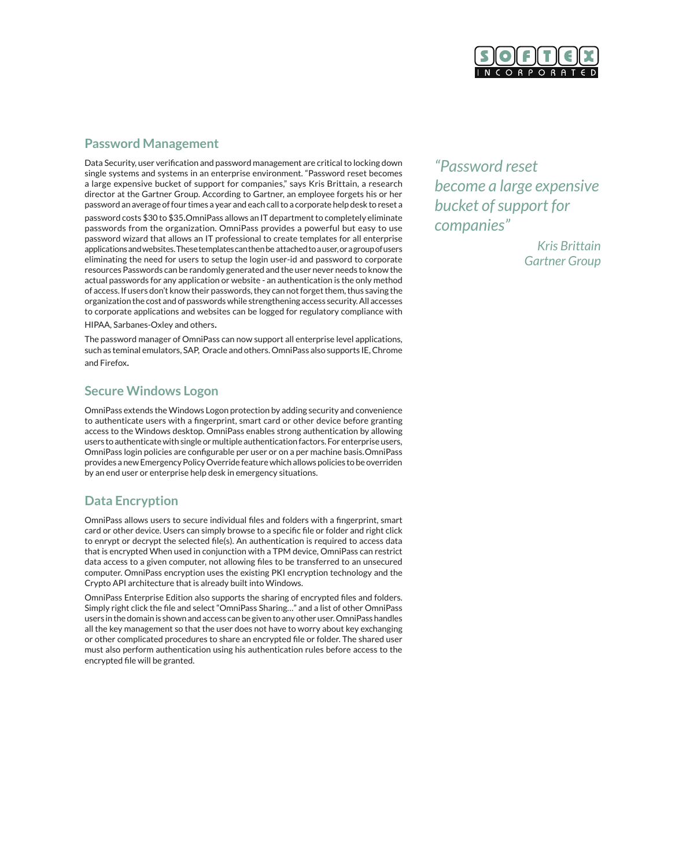

#### **Password Management**

Data Security, user verification and password management are critical to locking down single systems and systems in an enterprise environment. "Password reset becomes a large expensive bucket of support for companies," says Kris Brittain, a research director at the Gartner Group. According to Gartner, an employee forgets his or her password an average of four times a year and each call to a corporate help desk to reset a password costs \$30 to \$35.OmniPass allows an IT department to completely eliminate passwords from the organization. OmniPass provides a powerful but easy to use password wizard that allows an IT professional to create templates for all enterprise applications and websites. These templates can then be attached to a user, or a group of users eliminating the need for users to setup the login user-id and password to corporate resources Passwords can be randomly generated and the user never needs to know the actual passwords for any application or website - an authentication is the only method of access. If users don't know their passwords, they can not forget them, thus saving the organization the cost and of passwords while strengthening access security. All accesses to corporate applications and websites can be logged for regulatory compliance with

HIPAA, Sarbanes-Oxley and others.

The password manager of OmniPass can now support all enterprise level applications, such as teminal emulators, SAP, Oracle and others. OmniPass also supports IE, Chrome and Firefox.

## **Secure Windows Logon**

OmniPass extends the Windows Logon protection by adding security and convenience to authenticate users with a fingerprint, smart card or other device before granting access to the Windows desktop. OmniPass enables strong authentication by allowing users to authenticate with single or multiple authentication factors. For enterprise users, OmniPass login policies are configurable per user or on a per machine basis.OmniPass provides a new Emergency Policy Override feature which allows policies to be overriden by an end user or enterprise help desk in emergency situations.

# **Data Encryption**

OmniPass allows users to secure individual files and folders with a fingerprint, smart card or other device. Users can simply browse to a specific file or folder and right click to enrypt or decrypt the selected file(s). An authentication is required to access data that is encrypted When used in conjunction with a TPM device, OmniPass can restrict data access to a given computer, not allowing files to be transferred to an unsecured computer. OmniPass encryption uses the existing PKI encryption technology and the Crypto API architecture that is already built into Windows.

OmniPass Enterprise Edition also supports the sharing of encrypted files and folders. Simply right click the file and select "OmniPass Sharing…" and a list of other OmniPass users in the domain is shown and access can be given to any other user. OmniPass handles all the key management so that the user does not have to worry about key exchanging or other complicated procedures to share an encrypted file or folder. The shared user must also perform authentication using his authentication rules before access to the encrypted file will be granted.

*"Password reset become a large expensive bucket of support for companies"*

> *Kris Brittain Gartner Group*